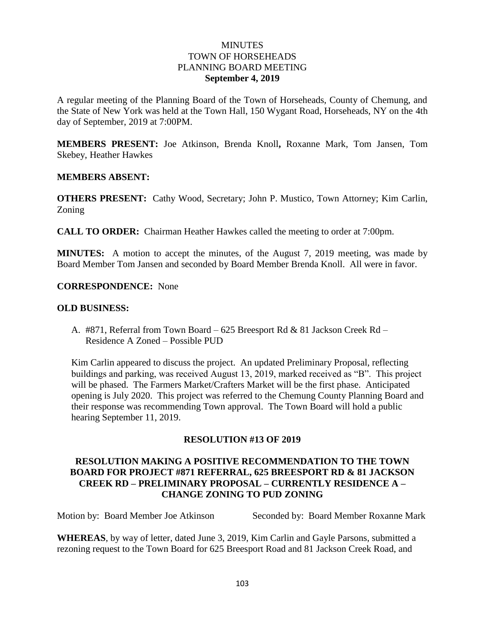### **MINUTES** TOWN OF HORSEHEADS PLANNING BOARD MEETING **September 4, 2019**

A regular meeting of the Planning Board of the Town of Horseheads, County of Chemung, and the State of New York was held at the Town Hall, 150 Wygant Road, Horseheads, NY on the 4th day of September, 2019 at 7:00PM.

**MEMBERS PRESENT:** Joe Atkinson, Brenda Knoll**,** Roxanne Mark, Tom Jansen, Tom Skebey, Heather Hawkes

### **MEMBERS ABSENT:**

**OTHERS PRESENT:** Cathy Wood, Secretary; John P. Mustico, Town Attorney; Kim Carlin, Zoning

**CALL TO ORDER:** Chairman Heather Hawkes called the meeting to order at 7:00pm.

**MINUTES:** A motion to accept the minutes, of the August 7, 2019 meeting, was made by Board Member Tom Jansen and seconded by Board Member Brenda Knoll. All were in favor.

**CORRESPONDENCE:** None

#### **OLD BUSINESS:**

A. #871, Referral from Town Board – 625 Breesport Rd & 81 Jackson Creek Rd – Residence A Zoned – Possible PUD

Kim Carlin appeared to discuss the project. An updated Preliminary Proposal, reflecting buildings and parking, was received August 13, 2019, marked received as "B". This project will be phased. The Farmers Market/Crafters Market will be the first phase. Anticipated opening is July 2020. This project was referred to the Chemung County Planning Board and their response was recommending Town approval. The Town Board will hold a public hearing September 11, 2019.

### **RESOLUTION #13 OF 2019**

# **RESOLUTION MAKING A POSITIVE RECOMMENDATION TO THE TOWN BOARD FOR PROJECT #871 REFERRAL, 625 BREESPORT RD & 81 JACKSON CREEK RD – PRELIMINARY PROPOSAL – CURRENTLY RESIDENCE A – CHANGE ZONING TO PUD ZONING**

Motion by: Board Member Joe Atkinson Seconded by: Board Member Roxanne Mark

**WHEREAS**, by way of letter, dated June 3, 2019, Kim Carlin and Gayle Parsons, submitted a rezoning request to the Town Board for 625 Breesport Road and 81 Jackson Creek Road, and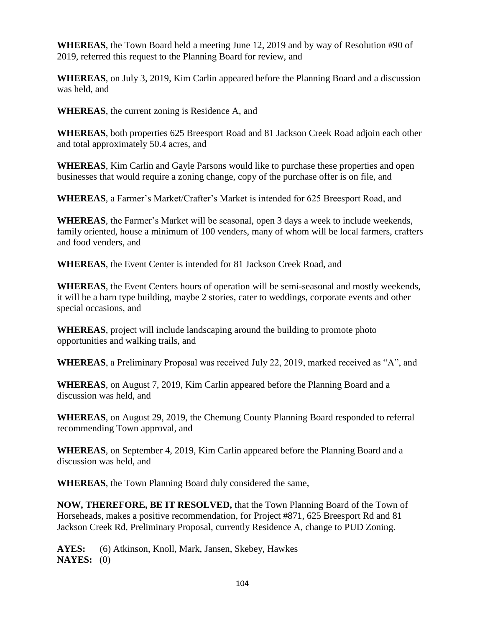**WHEREAS**, the Town Board held a meeting June 12, 2019 and by way of Resolution #90 of 2019, referred this request to the Planning Board for review, and

**WHEREAS**, on July 3, 2019, Kim Carlin appeared before the Planning Board and a discussion was held, and

**WHEREAS**, the current zoning is Residence A, and

**WHEREAS**, both properties 625 Breesport Road and 81 Jackson Creek Road adjoin each other and total approximately 50.4 acres, and

**WHEREAS**, Kim Carlin and Gayle Parsons would like to purchase these properties and open businesses that would require a zoning change, copy of the purchase offer is on file, and

**WHEREAS**, a Farmer's Market/Crafter's Market is intended for 625 Breesport Road, and

**WHEREAS**, the Farmer's Market will be seasonal, open 3 days a week to include weekends, family oriented, house a minimum of 100 venders, many of whom will be local farmers, crafters and food venders, and

**WHEREAS**, the Event Center is intended for 81 Jackson Creek Road, and

**WHEREAS**, the Event Centers hours of operation will be semi-seasonal and mostly weekends, it will be a barn type building, maybe 2 stories, cater to weddings, corporate events and other special occasions, and

**WHEREAS**, project will include landscaping around the building to promote photo opportunities and walking trails, and

**WHEREAS**, a Preliminary Proposal was received July 22, 2019, marked received as "A", and

**WHEREAS**, on August 7, 2019, Kim Carlin appeared before the Planning Board and a discussion was held, and

**WHEREAS**, on August 29, 2019, the Chemung County Planning Board responded to referral recommending Town approval, and

**WHEREAS**, on September 4, 2019, Kim Carlin appeared before the Planning Board and a discussion was held, and

**WHEREAS**, the Town Planning Board duly considered the same,

**NOW, THEREFORE, BE IT RESOLVED,** that the Town Planning Board of the Town of Horseheads, makes a positive recommendation, for Project #871, 625 Breesport Rd and 81 Jackson Creek Rd, Preliminary Proposal, currently Residence A, change to PUD Zoning.

**AYES:** (6) Atkinson, Knoll, Mark, Jansen, Skebey, Hawkes **NAYES:** (0)